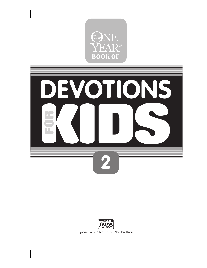





Tyndale House Publishers, Inc., Wheaton, Illinois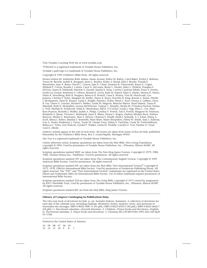Visit Tyndale's exciting Web site at www.tyndale.com

*TYNDALE* is a registered trademark of Tyndale House Publishers, Inc.

Tyndale's quill logo is a trademark of Tyndale House Publishers, Inc.

Copyright © 1995 Children's Bible Hour. All rights reserved.

Stories written by: Katherine Ruth Adams, Susan Arcand, Esther M. Bailey, Carol Baker, Evelyn J. Behrens, Teresa M. Beverly, Judith K. Boogaart, Janet L. Boulter, Kathy A. Brand, Julie J. Brooks, Wanda E. Brunstetter, Jean A. Burns, David C. Carson, Jane K. Chase, Susanna B. Chenoweth, Karen E. Cogan, Mildred P. Colvin, Rosalie J. Currier, Carol A. DeCesare, Becky L. Decker, Mary L. DeMott, Douglas G. DeVries, Karen R. Ditthardt, Harriett A. Durrell, Sandra E. Dusa, Corrine Canavan Fifield, Dean A. Fowler, Linda Lee Gerard, Katherine F. Gibson, Brenda K. Good, Ruth M. Hamel, Mary E. Hanks, Myrina D. Harris, Diane K. Hesselberg, Beth R. Hoppers, Rebecca R. Howell, Clara E. Hustus, Vera M. Hutchcraft, Lyn Jackson, Christie P. Kehn, Margaret M. Keiffer, Nance E. Keyes, Dorothy R. King, Bonnie L. Kinne, Phyllis I. Klomparens, Daryl B. Knauer, Linda E. Knight, Pamela J. Kuhn, Sherri L. Kuyt, Donna A. LeBlanc, Joyce R. Lee, Glenn G. Luscher, Richard S. Maffeo, Linda M. Magoon, Blanche Manos, Hazel Marett, Tanya K. Marshall, Ruth K. McQuilkin, Lenora McWhorter, Valarae C. Murphy, Emilia M. D'Andrea Nichols, Emma L. Noll, Matilda H. Nordtvedt, Della R. Oberholtzer, Bill K. O'Conner, Linda J. Opp, Ellen C. Orr, Mary Rose Pearson, Richelle J. Pfeiffer, Judith A. Philip, Cynthia Y. Powell, Tait E. Powell, Margaret M. Primrose, Elizabeth A. Raum, Victoria L. Reinhardt, Janet E. Rhine, Deana L. Rogers, Darlene Minkler Root, Nathan Runyon, Shelley L. Russwurm, Alan A. Sawyer, Charissa S. Schalk, Heidi J. Schmidt, A. J. Schut, Elzina A. Scott, Maria I. Sellers, Marilyn J. Senterfitt, Sheri Shaw, Marie Shropshire, Debra W. Smith, Sam L. Sullivan, Lois A. Teufel, Kimberley J. Tracey, Trudy M. Vander Veen, Debra A. VanDyke, Cindy M. VanSchalkwyk, Rebecca L. Velez, Geri Walcott, Lyndel F. Walker, Linda M. Weddle, Carolyn E. Yost, Pauline O. Youd, Carol J. Zileski.

Authors' initials appear at the end of each story. All stories are taken from issues of *Keys for Kids,* published bimonthly by the Children's Bible Hour, Box 1, Grand Rapids, Michigan 49501.

*One Year* is a registered trademark of Tyndale House Publishers, Inc.

Unless otherwise noted, Scripture quotations are taken from the *Holy Bible,* New Living Translation, copyright © 1996. Used by permission of Tyndale House Publishers, Inc., Wheaton, Illinois 60189. All rights reserved.

Scripture quotations marked NKJV are taken from The New King James Version. Copyright © 1979, 1980, 1982, Thomas Nelson Inc., Publishers. Used by permission. All rights reserved.

Scripture quotations marked CEV are taken from The Contemporary English Version. Copyright © 1995 American Bible Society. Used by permission. All rights reserved.

Scripture quotations marked NIV are taken from the *Holy Bible,* New International Version® . Copyright © 1973, 1978, 1984 by International Bible Society. Used by permission of Zondervan Publishing House. All rights reserved. The "NIV" and "New International Version" trademarks are registered in the United States Patent and Trademark Office by International Bible Society. Use of either trademark requires permission of International Bible Society.

Scripture quotations marked TLB are taken from *The Living Bible,* copyright © 1971 owned by assignment by KNT Charitable Trust. Used by permission of Tyndale House Publishers, Inc., Wheaton, Illinois 60189. All rights reserved.

Scripture quotations marked KJV are from the *Holy Bible,* King James Version.

#### **Library of Congress Cataloging-in-Publication Data**

The One year book of devotions for kids. p. cm. Includes Indexes. Summary: A collection of devotions for each day of the calendar year, including readings, illustrative stories, memory verses, and questions to internalize the messages. ISBN 0-8423-5087-X (#1-pbk.) ISBN 0-8423-4592-2 (#2-pbk.) ISBN 0-8423-4662-7 (#3-pbk.) 1. Devotional calendars—Juvenile literature. 2. Children—Prayer books and devotions—English. [1. Devotional calendars. 2. Prayer books and devotions. 3. Christian life.] BV4870.064 1993 242⊃.682 δχ20 93−15786

Printed in the United States of America

10 09 08 07 06 05 13 12 11 10 9 8 7